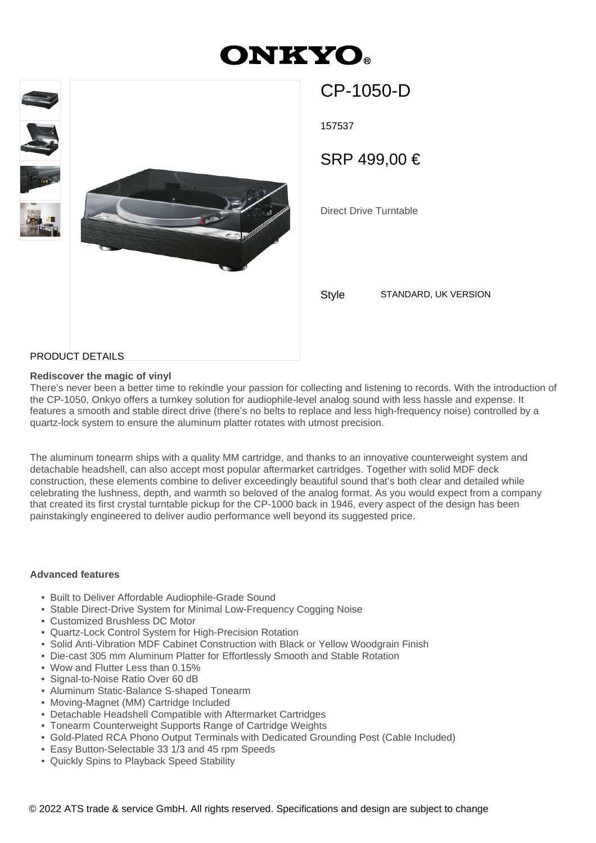# **ONKYO**



CP-1050-D

157537

SRP 499,00 €

Direct Drive Turntable

Style STANDARD, UK VERSION

## PRODUCT DETAILS

#### **Rediscover the magic of vinyl**

There's never been a better time to rekindle your passion for collecting and listening to records. With the introduction of the CP-1050, Onkyo offers a turnkey solution for audiophile-level analog sound with less hassle and expense. It features a smooth and stable direct drive (there's no belts to replace and less high-frequency noise) controlled by a quartz-lock system to ensure the aluminum platter rotates with utmost precision.

The aluminum tonearm ships with a quality MM cartridge, and thanks to an innovative counterweight system and detachable headshell, can also accept most popular aftermarket cartridges. Together with solid MDF deck construction, these elements combine to deliver exceedingly beautiful sound that's both clear and detailed while celebrating the lushness, depth, and warmth so beloved of the analog format. As you would expect from a company that created its first crystal turntable pickup for the CP-1000 back in 1946, every aspect of the design has been painstakingly engineered to deliver audio performance well beyond its suggested price.

#### **Advanced features**

- Built to Deliver Affordable Audiophile-Grade Sound
- Stable Direct-Drive System for Minimal Low-Frequency Cogging Noise
- Customized Brushless DC Motor
- Quartz-Lock Control System for High-Precision Rotation
- Solid Anti-Vibration MDF Cabinet Construction with Black or Yellow Woodgrain Finish
- Die-cast 305 mm Aluminum Platter for Effortlessly Smooth and Stable Rotation
- Wow and Flutter Less than 0.15%
- Signal-to-Noise Ratio Over 60 dB
- Aluminum Static-Balance S-shaped Tonearm
- Moving-Magnet (MM) Cartridge Included
- Detachable Headshell Compatible with Aftermarket Cartridges
- Tonearm Counterweight Supports Range of Cartridge Weights
- Gold-Plated RCA Phono Output Terminals with Dedicated Grounding Post (Cable Included)
- Easy Button-Selectable 33 1/3 and 45 rpm Speeds
- Quickly Spins to Playback Speed Stability